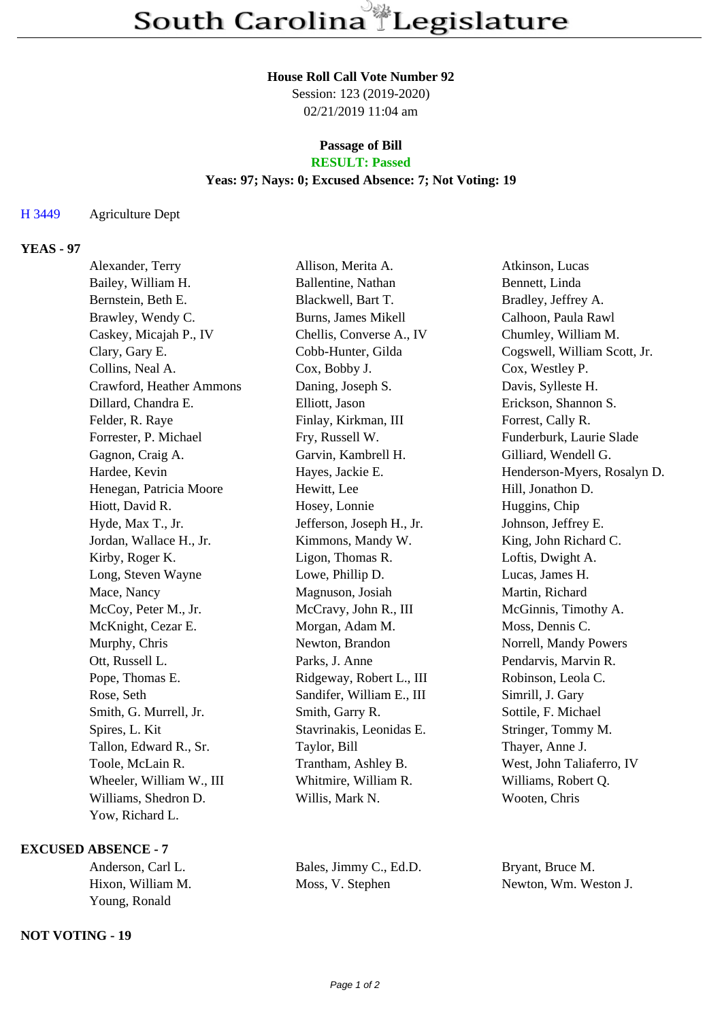#### **House Roll Call Vote Number 92**

Session: 123 (2019-2020) 02/21/2019 11:04 am

# **Passage of Bill**

## **RESULT: Passed**

### **Yeas: 97; Nays: 0; Excused Absence: 7; Not Voting: 19**

#### H 3449 Agriculture Dept

### **YEAS - 97**

| Alexander, Terry         | Allison, Merita A.        | Atkinson, Lucas              |
|--------------------------|---------------------------|------------------------------|
| Bailey, William H.       | Ballentine, Nathan        | Bennett, Linda               |
| Bernstein, Beth E.       | Blackwell, Bart T.        | Bradley, Jeffrey A.          |
| Brawley, Wendy C.        | Burns, James Mikell       | Calhoon, Paula Rawl          |
| Caskey, Micajah P., IV   | Chellis, Converse A., IV  | Chumley, William M.          |
| Clary, Gary E.           | Cobb-Hunter, Gilda        | Cogswell, William Scott, Jr. |
| Collins, Neal A.         | Cox, Bobby J.             | Cox, Westley P.              |
| Crawford, Heather Ammons | Daning, Joseph S.         | Davis, Sylleste H.           |
| Dillard, Chandra E.      | Elliott, Jason            | Erickson, Shannon S.         |
| Felder, R. Raye          | Finlay, Kirkman, III      | Forrest, Cally R.            |
| Forrester, P. Michael    | Fry, Russell W.           | Funderburk, Laurie Slade     |
| Gagnon, Craig A.         | Garvin, Kambrell H.       | Gilliard, Wendell G.         |
| Hardee, Kevin            | Hayes, Jackie E.          | Henderson-Myers, Rosalyn D.  |
| Henegan, Patricia Moore  | Hewitt, Lee               | Hill, Jonathon D.            |
| Hiott, David R.          | Hosey, Lonnie             | Huggins, Chip                |
| Hyde, Max T., Jr.        | Jefferson, Joseph H., Jr. | Johnson, Jeffrey E.          |
| Jordan, Wallace H., Jr.  | Kimmons, Mandy W.         | King, John Richard C.        |
| Kirby, Roger K.          | Ligon, Thomas R.          | Loftis, Dwight A.            |
| Long, Steven Wayne       | Lowe, Phillip D.          | Lucas, James H.              |
| Mace, Nancy              | Magnuson, Josiah          | Martin, Richard              |
| McCoy, Peter M., Jr.     | McCravy, John R., III     | McGinnis, Timothy A.         |
| McKnight, Cezar E.       | Morgan, Adam M.           | Moss, Dennis C.              |
| Murphy, Chris            | Newton, Brandon           | Norrell, Mandy Powers        |
| Ott, Russell L.          | Parks, J. Anne            | Pendarvis, Marvin R.         |
| Pope, Thomas E.          | Ridgeway, Robert L., III  | Robinson, Leola C.           |
| Rose, Seth               | Sandifer, William E., III | Simrill, J. Gary             |
| Smith, G. Murrell, Jr.   | Smith, Garry R.           | Sottile, F. Michael          |
| Spires, L. Kit           | Stavrinakis, Leonidas E.  | Stringer, Tommy M.           |
| Tallon, Edward R., Sr.   | Taylor, Bill              | Thayer, Anne J.              |
| Toole, McLain R.         | Trantham, Ashley B.       | West, John Taliaferro, IV    |
| Wheeler, William W., III | Whitmire, William R.      | Williams, Robert Q.          |
| Williams, Shedron D.     | Willis, Mark N.           | Wooten, Chris                |
| Yow, Richard L.          |                           |                              |

### **EXCUSED ABSENCE - 7**

| Anderson, Carl L. |  |  |
|-------------------|--|--|
| Hixon, William M. |  |  |
| Young, Ronald     |  |  |

#### **NOT VOTING - 19**

Bales, Jimmy C., Ed.D. Bryant, Bruce M. Moss, V. Stephen Newton, Wm. Weston J.